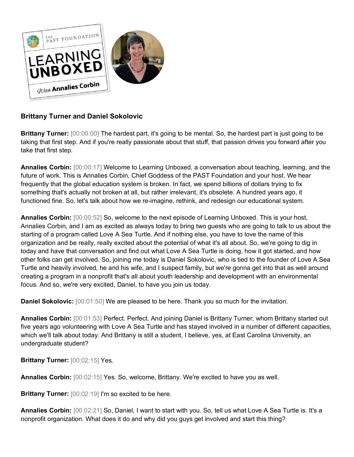

# **Brittany Turner and Daniel Sokolovic**

**Brittany Turner:** [00:00:00] The hardest part, it's going to be mental. So, the hardest part is just going to be taking that first step. And if you're really passionate about that stuff, that passion drives you forward after you take that first step.

**Annalies Corbin:** [00:00:17] Welcome to Learning Unboxed, a conversation about teaching, learning, and the future of work. This is Annalies Corbin, Chief Goddess of the PAST Foundation and your host. We hear frequently that the global education system is broken. In fact, we spend billions of dollars trying to fix something that's actually not broken at all, but rather irrelevant, it's obsolete. A hundred years ago, it functioned fine. So, let's talk about how we re-imagine, rethink, and redesign our educational system.

**Annalies Corbin:** [00:00:52] So, welcome to the next episode of Learning Unboxed. This is your host, Annalies Corbin, and I am as excited as always today to bring two guests who are going to talk to us about the starting of a program called Love A Sea Turtle. And if nothing else, you have to love the name of this organization and be really, really excited about the potential of what it's all about. So, we're going to dig in today and have that conversation and find out what Love A Sea Turtle is doing, how it got started, and how other folks can get involved. So, joining me today is Daniel Sokolovic, who is tied to the founder of Love A Sea Turtle and heavily involved, he and his wife, and I suspect family, but we're gonna get into that as well around creating a program in a nonprofit that's all about youth leadership and development with an environmental focus. And so, we're very excited, Daniel, to have you join us today.

**Daniel Sokolovic:** [00:01:50] We are pleased to be here. Thank you so much for the invitation.

**Annalies Corbin:** [00:01:53] Perfect. Perfect. And joining Daniel is Brittany Turner, whom Brittany started out five years ago volunteering with Love A Sea Turtle and has stayed involved in a number of different capacities, which we'll talk about today. And Brittany is still a student, I believe, yes, at East Carolina University, an undergraduate student?

**Brittany Turner:** [00:02:15] Yes.

**Annalies Corbin:** [00:02:15] Yes. So, welcome, Brittany. We're excited to have you as well.

**Brittany Turner:** [00:02:19] I'm so excited to be here.

**Annalies Corbin:** [00:02:21] So, Daniel, I want to start with you. So, tell us what Love A Sea Turtle is. It's a nonprofit organization. What does it do and why did you guys get involved and start this thing?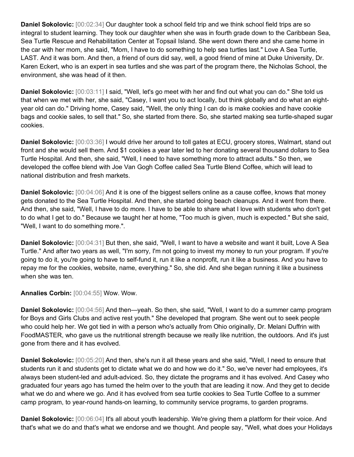**Daniel Sokolovic:** [00:02:34] Our daughter took a school field trip and we think school field trips are so integral to student learning. They took our daughter when she was in fourth grade down to the Caribbean Sea, Sea Turtle Rescue and Rehabilitation Center at Topsail Island. She went down there and she came home in the car with her mom, she said, "Mom, I have to do something to help sea turtles last." Love A Sea Turtle, LAST. And it was born. And then, a friend of ours did say, well, a good friend of mine at Duke University, Dr. Karen Eckert, who is an expert in sea turtles and she was part of the program there, the Nicholas School, the environment, she was head of it then.

**Daniel Sokolovic:** [00:03:11] I said, "Well, let's go meet with her and find out what you can do." She told us that when we met with her, she said, "Casey, I want you to act locally, but think globally and do what an eightyear old can do." Driving home, Casey said, "Well, the only thing I can do is make cookies and have cookie bags and cookie sales, to sell that." So, she started from there. So, she started making sea turtle-shaped sugar cookies.

**Daniel Sokolovic:** [00:03:36] I would drive her around to toll gates at ECU, grocery stores, Walmart, stand out front and she would sell them. And \$1 cookies a year later led to her donating several thousand dollars to Sea Turtle Hospital. And then, she said, "Well, I need to have something more to attract adults." So then, we developed the coffee blend with Joe Van Gogh Coffee called Sea Turtle Blend Coffee, which will lead to national distribution and fresh markets.

**Daniel Sokolovic:** [00:04:06] And it is one of the biggest sellers online as a cause coffee, knows that money gets donated to the Sea Turtle Hospital. And then, she started doing beach cleanups. And it went from there. And then, she said, "Well, I have to do more. I have to be able to share what I love with students who don't get to do what I get to do." Because we taught her at home, "Too much is given, much is expected." But she said, "Well, I want to do something more.".

**Daniel Sokolovic:** [00:04:31] But then, she said, "Well, I want to have a website and want it built, Love A Sea Turtle." And after two years as well, "I'm sorry, I'm not going to invest my money to run your program. If you're going to do it, you're going to have to self-fund it, run it like a nonprofit, run it like a business. And you have to repay me for the cookies, website, name, everything." So, she did. And she began running it like a business when she was ten.

**Annalies Corbin:** [00:04:55] Wow. Wow.

**Daniel Sokolovic:** [00:04:56] And then—yeah. So then, she said, "Well, I want to do a summer camp program for Boys and Girls Clubs and active rest youth." She developed that program. She went out to seek people who could help her. We got tied in with a person who's actually from Ohio originally, Dr. Melani Duffrin with FoodMASTER, who gave us the nutritional strength because we really like nutrition, the outdoors. And it's just gone from there and it has evolved.

**Daniel Sokolovic:** [00:05:20] And then, she's run it all these years and she said, "Well, I need to ensure that students run it and students get to dictate what we do and how we do it." So, we've never had employees, it's always been student-led and adult-adviced. So, they dictate the programs and it has evolved. And Casey who graduated four years ago has turned the helm over to the youth that are leading it now. And they get to decide what we do and where we go. And it has evolved from sea turtle cookies to Sea Turtle Coffee to a summer camp program, to year-round hands-on learning, to community service programs, to garden programs.

**Daniel Sokolovic:** [00:06:04] It's all about youth leadership. We're giving them a platform for their voice. And that's what we do and that's what we endorse and we thought. And people say, "Well, what does your Holidays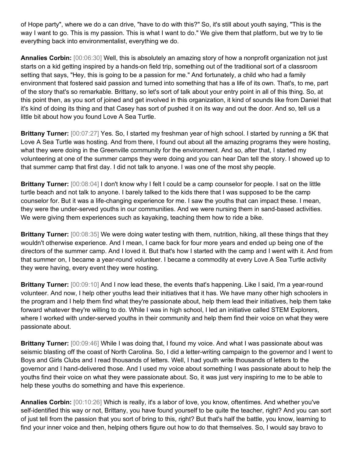of Hope party", where we do a can drive, "have to do with this?" So, it's still about youth saying, "This is the way I want to go. This is my passion. This is what I want to do." We give them that platform, but we try to tie everything back into environmentalist, everything we do.

**Annalies Corbin:** [00:06:30] Well, this is absolutely an amazing story of how a nonprofit organization not just starts on a kid getting inspired by a hands-on field trip, something out of the traditional sort of a classroom setting that says, "Hey, this is going to be a passion for me." And fortunately, a child who had a family environment that fostered said passion and turned into something that has a life of its own. That's, to me, part of the story that's so remarkable. Brittany, so let's sort of talk about your entry point in all of this thing. So, at this point then, as you sort of joined and get involved in this organization, it kind of sounds like from Daniel that it's kind of doing its thing and that Casey has sort of pushed it on its way and out the door. And so, tell us a little bit about how you found Love A Sea Turtle.

**Brittany Turner:** [00:07:27] Yes. So, I started my freshman year of high school. I started by running a 5K that Love A Sea Turtle was hosting. And from there, I found out about all the amazing programs they were hosting, what they were doing in the Greenville community for the environment. And so, after that, I started my volunteering at one of the summer camps they were doing and you can hear Dan tell the story. I showed up to that summer camp that first day. I did not talk to anyone. I was one of the most shy people.

**Brittany Turner:** [00:08:04] I don't know why I felt I could be a camp counselor for people. I sat on the little turtle beach and not talk to anyone. I barely talked to the kids there that I was supposed to be the camp counselor for. But it was a life-changing experience for me. I saw the youths that can impact these. I mean, they were the under-served youths in our communities. And we were nursing them in sand-based activities. We were giving them experiences such as kayaking, teaching them how to ride a bike.

**Brittany Turner:** [00:08:35] We were doing water testing with them, nutrition, hiking, all these things that they wouldn't otherwise experience. And I mean, I came back for four more years and ended up being one of the directors of the summer camp. And I loved it. But that's how I started with the camp and I went with it. And from that summer on, I became a year-round volunteer. I became a commodity at every Love A Sea Turtle activity they were having, every event they were hosting.

**Brittany Turner:** [00:09:10] And I now lead these, the events that's happening. Like I said, I'm a year-round volunteer. And now, I help other youths lead their initiatives that it has. We have many other high schoolers in the program and I help them find what they're passionate about, help them lead their initiatives, help them take forward whatever they're willing to do. While I was in high school, I led an initiative called STEM Explorers, where I worked with under-served youths in their community and help them find their voice on what they were passionate about.

**Brittany Turner:** [00:09:46] While I was doing that, I found my voice. And what I was passionate about was seismic blasting off the coast of North Carolina. So, I did a letter-writing campaign to the governor and I went to Boys and Girls Clubs and I read thousands of letters. Well, I had youth write thousands of letters to the governor and I hand-delivered those. And I used my voice about something I was passionate about to help the youths find their voice on what they were passionate about. So, it was just very inspiring to me to be able to help these youths do something and have this experience.

**Annalies Corbin:** [00:10:26] Which is really, it's a labor of love, you know, oftentimes. And whether you've self-identified this way or not, Brittany, you have found yourself to be quite the teacher, right? And you can sort of just tell from the passion that you sort of bring to this, right? But that's half the battle, you know, learning to find your inner voice and then, helping others figure out how to do that themselves. So, I would say bravo to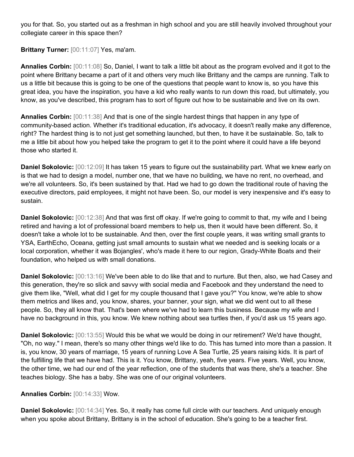you for that. So, you started out as a freshman in high school and you are still heavily involved throughout your collegiate career in this space then?

**Brittany Turner:** [00:11:07] Yes, ma'am.

**Annalies Corbin:** [00:11:08] So, Daniel, I want to talk a little bit about as the program evolved and it got to the point where Brittany became a part of it and others very much like Brittany and the camps are running. Talk to us a little bit because this is going to be one of the questions that people want to know is, so you have this great idea, you have the inspiration, you have a kid who really wants to run down this road, but ultimately, you know, as you've described, this program has to sort of figure out how to be sustainable and live on its own.

**Annalies Corbin:** [00:11:38] And that is one of the single hardest things that happen in any type of community-based action. Whether it's traditional education, it's advocacy, it doesn't really make any difference, right? The hardest thing is to not just get something launched, but then, to have it be sustainable. So, talk to me a little bit about how you helped take the program to get it to the point where it could have a life beyond those who started it.

**Daniel Sokolovic:** [00:12:09] It has taken 15 years to figure out the sustainability part. What we knew early on is that we had to design a model, number one, that we have no building, we have no rent, no overhead, and we're all volunteers. So, it's been sustained by that. Had we had to go down the traditional route of having the executive directors, paid employees, it might not have been. So, our model is very inexpensive and it's easy to sustain.

**Daniel Sokolovic:** [00:12:38] And that was first off okay. If we're going to commit to that, my wife and I being retired and having a lot of professional board members to help us, then it would have been different. So, it doesn't take a whole lot to be sustainable. And then, over the first couple years, it was writing small grants to YSA, EarthEcho, Oceana, getting just small amounts to sustain what we needed and is seeking locals or a local corporation, whether it was Bojangles', who's made it here to our region, Grady-White Boats and their foundation, who helped us with small donations.

**Daniel Sokolovic:** [00:13:16] We've been able to do like that and to nurture. But then, also, we had Casey and this generation, they're so slick and savvy with social media and Facebook and they understand the need to give them like, "Well, what did I get for my couple thousand that I gave you?" You know, we're able to show them metrics and likes and, you know, shares, your banner, your sign, what we did went out to all these people. So, they all know that. That's been where we've had to learn this business. Because my wife and I have no background in this, you know. We knew nothing about sea turtles then, if you'd ask us 15 years ago.

**Daniel Sokolovic:** [00:13:55] Would this be what we would be doing in our retirement? We'd have thought, "Oh, no way." I mean, there's so many other things we'd like to do. This has turned into more than a passion. It is, you know, 30 years of marriage, 15 years of running Love A Sea Turtle, 25 years raising kids. It is part of the fulfilling life that we have had. This is it. You know, Brittany, yeah, five years. Five years. Well, you know, the other time, we had our end of the year reflection, one of the students that was there, she's a teacher. She teaches biology. She has a baby. She was one of our original volunteers.

### **Annalies Corbin:** [00:14:33] Wow.

**Daniel Sokolovic:** [00:14:34] Yes. So, it really has come full circle with our teachers. And uniquely enough when you spoke about Brittany, Brittany is in the school of education. She's going to be a teacher first.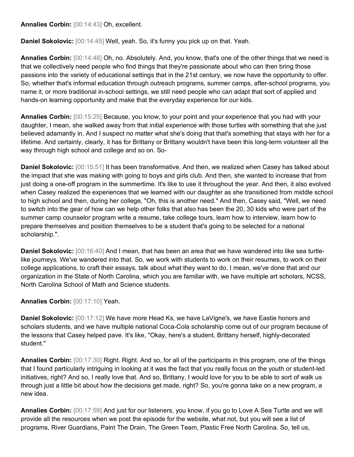**Annalies Corbin:** [00:14:43] Oh, excellent.

**Daniel Sokolovic:** [00:14:45] Well, yeah. So, it's funny you pick up on that. Yeah.

**Annalies Corbin:** [00:14:48] Oh, no. Absolutely. And, you know, that's one of the other things that we need is that we collectively need people who find things that they're passionate about who can then bring those passions into the variety of educational settings that in the 21st century, we now have the opportunity to offer. So, whether that's informal education through outreach programs, summer camps, after-school programs, you name it, or more traditional in-school settings, we still need people who can adapt that sort of applied and hands-on learning opportunity and make that the everyday experience for our kids.

**Annalies Corbin:** [00:15:25] Because, you know, to your point and your experience that you had with your daughter, I mean, she walked away from that initial experience with those turtles with something that she just believed adamantly in. And I suspect no matter what she's doing that that's something that stays with her for a lifetime. And certainly, clearly, it has for Brittany or Brittany wouldn't have been this long-term volunteer all the way through high school and college and so on. So-

**Daniel Sokolovic:** [00:15:51] It has been transformative. And then, we realized when Casey has talked about the impact that she was making with going to boys and girls club. And then, she wanted to increase that from just doing a one-off program in the summertime. It's like to use it throughout the year. And then, it also evolved when Casey realized the experiences that we learned with our daughter as she transitioned from middle school to high school and then, during her college, "Oh, this is another need." And then, Casey said, "Well, we need to switch into the gear of how can we help other folks that also has been the 20, 30 kids who were part of the summer camp counselor program write a resume, take college tours, learn how to interview, learn how to prepare themselves and position themselves to be a student that's going to be selected for a national scholarship.".

**Daniel Sokolovic:** [00:16:40] And I mean, that has been an area that we have wandered into like sea turtlelike journeys. We've wandered into that. So, we work with students to work on their resumes, to work on their college applications, to craft their essays, talk about what they want to do. I mean, we've done that and our organization in the State of North Carolina, which you are familiar with, we have multiple art scholars, NCSS, North Carolina School of Math and Science students.

**Annalies Corbin:** [00:17:10] Yeah.

**Daniel Sokolovic:** [00:17:12] We have more Head Ks, we have LaVigne's, we have Eastie honors and scholars students, and we have multiple national Coca-Cola scholarship come out of our program because of the lessons that Casey helped pave. It's like, "Okay, here's a student, Brittany herself, highly-decorated student."

**Annalies Corbin:** [00:17:30] Right. Right. And so, for all of the participants in this program, one of the things that I found particularly intriguing in looking at it was the fact that you really focus on the youth or student-led initiatives, right? And so, I really love that. And so, Brittany, I would love for you to be able to sort of walk us through just a little bit about how the decisions get made, right? So, you're gonna take on a new program, a new idea.

**Annalies Corbin:** [00:17:59] And just for our listeners, you know, if you go to Love A Sea Turtle and we will provide all the resources when we post the episode for the website, what not, but you will see a list of programs, River Guardians, Paint The Drain, The Green Team, Plastic Free North Carolina. So, tell us,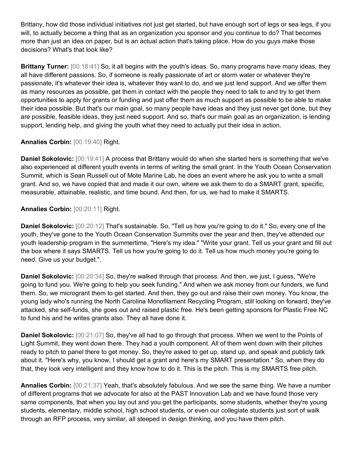Brittany, how did those individual initiatives not just get started, but have enough sort of legs or sea legs, if you will, to actually become a thing that as an organization you sponsor and you continue to do? That becomes more than just an idea on paper, but is an actual action that's taking place. How do you guys make those decisions? What's that look like?

**Brittany Turner:** [00:18:41] So, it all begins with the youth's ideas. So, many programs have many ideas, they all have different passions. So, if someone is really passionate of art or storm water or whatever they're passionate, it's whatever their idea is, whatever they want to do, and we just lend support. And we offer them as many resources as possible, get them in contact with the people they need to talk to and try to get them opportunities to apply for grants or funding and just offer them as much support as possible to be able to make their idea possible. But that's our main goal, so many people have ideas and they just never get done, but they are possible, feasible ideas, they just need support. And so, that's our main goal as an organization, is lending support, lending help, and giving the youth what they need to actually put their idea in action.

### Annalies Corbin: [00:19:40] Right.

**Daniel Sokolovic:** [00:19:41] A process that Brittany would do when she started hers is something that we've also experienced at different youth events in terms of writing the small grant. In the Youth Ocean Conservation Summit, which is Sean Russell out of Mote Marine Lab, he does an event where he ask you to write a small grant. And so, we have copied that and made it our own, where we ask them to do a SMART grant, specific, measurable, attainable, realistic, and time bound. And then, for us, we had to make it SMARTS.

## **Annalies Corbin:** [00:20:11] Right.

**Daniel Sokolovic:** [00:20:12] That's sustainable. So, "Tell us how you're going to do it." So, every one of the youth, they've gone to the Youth Ocean Conservation Summits over the year and then, they've attended our youth leadership program in the summertime, "Here's my idea." "Write your grant. Tell us your grant and fill out the box where it says SMARTS. Tell us how you're going to do it. Tell us how much money you're going to need. Give us your budget.".

**Daniel Sokolovic:** [00:20:34] So, they're walked through that process. And then, we just, I guess, "We're going to fund you. We're going to help you seek funding." And when we ask money from our funders, we fund them. So, we microgrant them to get started. And then, they go out and raise their own money. You know, the young lady who's running the North Carolina Monofilament Recycling Program, still looking on forward, they've attacked, she self-funds, she goes out and raised plastic free. He's been getting sponsors for Plastic Free NC to fund his and he writes grants also. They all have done it.

**Daniel Sokolovic:** [00:21:07] So, they've all had to go through that process. When we went to the Points of Light Summit, they went down there. They had a youth component. All of them went down with their pitches ready to pitch to panel there to get money. So, they're asked to get up, stand up, and speak and publicly talk about it. "Here's why, you know, I should get a grant and here's my SMART presentation." So, when they do that, they look very intelligent and they know how to do it. This is the pitch. This is my SMARTS free pitch.

**Annalies Corbin:** [00:21:37] Yeah, that's absolutely fabulous. And we see the same thing. We have a number of different programs that we advocate for also at the PAST Innovation Lab and we have found those very same components, that when you lay out and you get the participants, some students, whether they're young students, elementary, middle school, high school students, or even our collegiate students just sort of walk through an RFP process, very similar, all steeped in design thinking, and you have them pitch.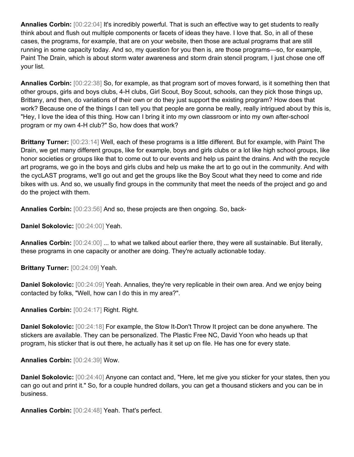**Annalies Corbin:** [00:22:04] It's incredibly powerful. That is such an effective way to get students to really think about and flush out multiple components or facets of ideas they have. I love that. So, in all of these cases, the programs, for example, that are on your website, then those are actual programs that are still running in some capacity today. And so, my question for you then is, are those programs—so, for example, Paint The Drain, which is about storm water awareness and storm drain stencil program, I just chose one off your list.

**Annalies Corbin:** [00:22:38] So, for example, as that program sort of moves forward, is it something then that other groups, girls and boys clubs, 4-H clubs, Girl Scout, Boy Scout, schools, can they pick those things up, Brittany, and then, do variations of their own or do they just support the existing program? How does that work? Because one of the things I can tell you that people are gonna be really, really intrigued about by this is, "Hey, I love the idea of this thing. How can I bring it into my own classroom or into my own after-school program or my own 4-H club?" So, how does that work?

**Brittany Turner:** [00:23:14] Well, each of these programs is a little different. But for example, with Paint The Drain, we get many different groups, like for example, boys and girls clubs or a lot like high school groups, like honor societies or groups like that to come out to our events and help us paint the drains. And with the recycle art programs, we go in the boys and girls clubs and help us make the art to go out in the community. And with the cycLAST programs, we'll go out and get the groups like the Boy Scout what they need to come and ride bikes with us. And so, we usually find groups in the community that meet the needs of the project and go and do the project with them.

**Annalies Corbin:** [00:23:56] And so, these projects are then ongoing. So, back-

**Daniel Sokolovic:** [00:24:00] Yeah.

**Annalies Corbin:** [00:24:00] ... to what we talked about earlier there, they were all sustainable. But literally, these programs in one capacity or another are doing. They're actually actionable today.

**Brittany Turner:** [00:24:09] Yeah.

**Daniel Sokolovic:** [00:24:09] Yeah. Annalies, they're very replicable in their own area. And we enjoy being contacted by folks, "Well, how can I do this in my area?".

**Annalies Corbin:** [00:24:17] Right. Right.

**Daniel Sokolovic:** [00:24:18] For example, the Stow It-Don't Throw It project can be done anywhere. The stickers are available. They can be personalized. The Plastic Free NC, David Yoon who heads up that program, his sticker that is out there, he actually has it set up on file. He has one for every state.

**Annalies Corbin:** [00:24:39] Wow.

**Daniel Sokolovic:** [00:24:40] Anyone can contact and, "Here, let me give you sticker for your states, then you can go out and print it." So, for a couple hundred dollars, you can get a thousand stickers and you can be in business.

**Annalies Corbin:** [00:24:48] Yeah. That's perfect.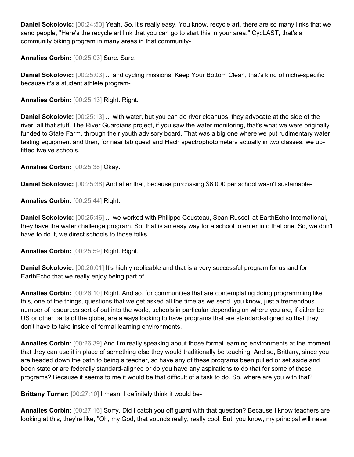**Daniel Sokolovic:** [00:24:50] Yeah. So, it's really easy. You know, recycle art, there are so many links that we send people, "Here's the recycle art link that you can go to start this in your area." CycLAST, that's a community biking program in many areas in that community-

**Annalies Corbin:** [00:25:03] Sure. Sure.

**Daniel Sokolovic:** [00:25:03] ... and cycling missions. Keep Your Bottom Clean, that's kind of niche-specific because it's a student athlete program-

**Annalies Corbin:** [00:25:13] Right. Right.

**Daniel Sokolovic:** [00:25:13] ... with water, but you can do river cleanups, they advocate at the side of the river, all that stuff. The River Guardians project, if you saw the water monitoring, that's what we were originally funded to State Farm, through their youth advisory board. That was a big one where we put rudimentary water testing equipment and then, for near lab quest and Hach spectrophotometers actually in two classes, we upfitted twelve schools.

**Annalies Corbin:** [00:25:38] Okay.

**Daniel Sokolovic:** [00:25:38] And after that, because purchasing \$6,000 per school wasn't sustainable-

**Annalies Corbin:** [00:25:44] Right.

**Daniel Sokolovic:** [00:25:46] ... we worked with Philippe Cousteau, Sean Russell at EarthEcho International, they have the water challenge program. So, that is an easy way for a school to enter into that one. So, we don't have to do it, we direct schools to those folks.

**Annalies Corbin:** [00:25:59] Right. Right.

**Daniel Sokolovic:** [00:26:01] It's highly replicable and that is a very successful program for us and for EarthEcho that we really enjoy being part of.

**Annalies Corbin:** [00:26:10] Right. And so, for communities that are contemplating doing programming like this, one of the things, questions that we get asked all the time as we send, you know, just a tremendous number of resources sort of out into the world, schools in particular depending on where you are, if either be US or other parts of the globe, are always looking to have programs that are standard-aligned so that they don't have to take inside of formal learning environments.

**Annalies Corbin:** [00:26:39] And I'm really speaking about those formal learning environments at the moment that they can use it in place of something else they would traditionally be teaching. And so, Brittany, since you are headed down the path to being a teacher, so have any of these programs been pulled or set aside and been state or are federally standard-aligned or do you have any aspirations to do that for some of these programs? Because it seems to me it would be that difficult of a task to do. So, where are you with that?

**Brittany Turner:** [00:27:10] I mean, I definitely think it would be-

**Annalies Corbin:** [00:27:16] Sorry. Did I catch you off guard with that question? Because I know teachers are looking at this, they're like, "Oh, my God, that sounds really, really cool. But, you know, my principal will never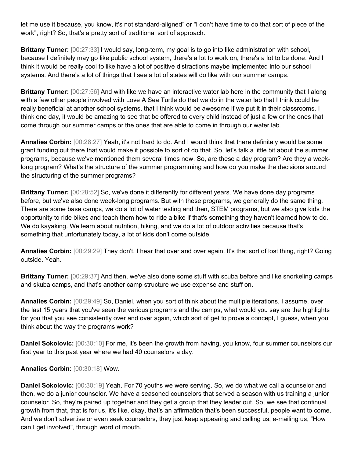let me use it because, you know, it's not standard-aligned" or "I don't have time to do that sort of piece of the work", right? So, that's a pretty sort of traditional sort of approach.

**Brittany Turner:** [00:27:33] I would say, long-term, my goal is to go into like administration with school, because I definitely may go like public school system, there's a lot to work on, there's a lot to be done. And I think it would be really cool to like have a lot of positive distractions maybe implemented into our school systems. And there's a lot of things that I see a lot of states will do like with our summer camps.

**Brittany Turner:** [00:27:56] And with like we have an interactive water lab here in the community that I along with a few other people involved with Love A Sea Turtle do that we do in the water lab that I think could be really beneficial at another school systems, that I think would be awesome if we put it in their classrooms. I think one day, it would be amazing to see that be offered to every child instead of just a few or the ones that come through our summer camps or the ones that are able to come in through our water lab.

**Annalies Corbin:** [00:28:27] Yeah, it's not hard to do. And I would think that there definitely would be some grant funding out there that would make it possible to sort of do that. So, let's talk a little bit about the summer programs, because we've mentioned them several times now. So, are these a day program? Are they a weeklong program? What's the structure of the summer programming and how do you make the decisions around the structuring of the summer programs?

**Brittany Turner:** [00:28:52] So, we've done it differently for different years. We have done day programs before, but we've also done week-long programs. But with these programs, we generally do the same thing. There are some base camps, we do a lot of water testing and then, STEM programs, but we also give kids the opportunity to ride bikes and teach them how to ride a bike if that's something they haven't learned how to do. We do kayaking. We learn about nutrition, hiking, and we do a lot of outdoor activities because that's something that unfortunately today, a lot of kids don't come outside.

**Annalies Corbin:** [00:29:29] They don't. I hear that over and over again. It's that sort of lost thing, right? Going outside. Yeah.

**Brittany Turner:** [00:29:37] And then, we've also done some stuff with scuba before and like snorkeling camps and skuba camps, and that's another camp structure we use expense and stuff on.

**Annalies Corbin:** [00:29:49] So, Daniel, when you sort of think about the multiple iterations, I assume, over the last 15 years that you've seen the various programs and the camps, what would you say are the highlights for you that you see consistently over and over again, which sort of get to prove a concept, I guess, when you think about the way the programs work?

**Daniel Sokolovic:** [00:30:10] For me, it's been the growth from having, you know, four summer counselors our first year to this past year where we had 40 counselors a day.

### **Annalies Corbin:** [00:30:18] Wow.

**Daniel Sokolovic:** [00:30:19] Yeah. For 70 youths we were serving. So, we do what we call a counselor and then, we do a junior counselor. We have a seasoned counselors that served a season with us training a junior counselor. So, they're paired up together and they get a group that they leader out. So, we see that continual growth from that, that is for us, it's like, okay, that's an affirmation that's been successful, people want to come. And we don't advertise or even seek counselors, they just keep appearing and calling us, e-mailing us, "How can I get involved", through word of mouth.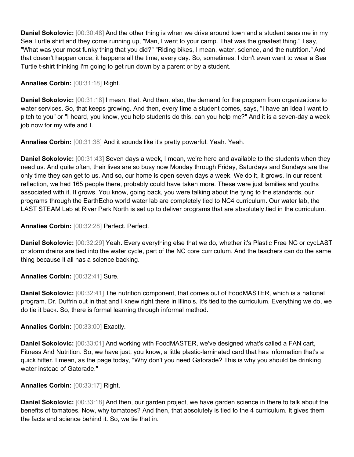**Daniel Sokolovic:** [00:30:48] And the other thing is when we drive around town and a student sees me in my Sea Turtle shirt and they come running up, "Man, I went to your camp. That was the greatest thing." I say, "What was your most funky thing that you did?" "Riding bikes, I mean, water, science, and the nutrition." And that doesn't happen once, it happens all the time, every day. So, sometimes, I don't even want to wear a Sea Turtle t-shirt thinking I'm going to get run down by a parent or by a student.

**Annalies Corbin:** [00:31:18] Right.

**Daniel Sokolovic:** [00:31:18] I mean, that. And then, also, the demand for the program from organizations to water services. So, that keeps growing. And then, every time a student comes, says, "I have an idea I want to pitch to you" or "I heard, you know, you help students do this, can you help me?" And it is a seven-day a week job now for my wife and I.

**Annalies Corbin:** [00:31:38] And it sounds like it's pretty powerful. Yeah. Yeah.

**Daniel Sokolovic:** [00:31:43] Seven days a week, I mean, we're here and available to the students when they need us. And quite often, their lives are so busy now Monday through Friday, Saturdays and Sundays are the only time they can get to us. And so, our home is open seven days a week. We do it, it grows. In our recent reflection, we had 165 people there, probably could have taken more. These were just families and youths associated with it. It grows. You know, going back, you were talking about the tying to the standards, our programs through the EarthEcho world water lab are completely tied to NC4 curriculum. Our water lab, the LAST STEAM Lab at River Park North is set up to deliver programs that are absolutely tied in the curriculum.

**Annalies Corbin:** [00:32:28] Perfect. Perfect.

**Daniel Sokolovic:** [00:32:29] Yeah. Every everything else that we do, whether it's Plastic Free NC or cycLAST or storm drains are tied into the water cycle, part of the NC core curriculum. And the teachers can do the same thing because it all has a science backing.

**Annalies Corbin:** [00:32:41] Sure.

**Daniel Sokolovic:** [00:32:41] The nutrition component, that comes out of FoodMASTER, which is a national program. Dr. Duffrin out in that and I knew right there in Illinois. It's tied to the curriculum. Everything we do, we do tie it back. So, there is formal learning through informal method.

**Annalies Corbin:** [00:33:00] Exactly.

**Daniel Sokolovic:** [00:33:01] And working with FoodMASTER, we've designed what's called a FAN cart, Fitness And Nutrition. So, we have just, you know, a little plastic-laminated card that has information that's a quick hitter. I mean, as the page today, "Why don't you need Gatorade? This is why you should be drinking water instead of Gatorade."

**Annalies Corbin:** [00:33:17] Right.

**Daniel Sokolovic:** [00:33:18] And then, our garden project, we have garden science in there to talk about the benefits of tomatoes. Now, why tomatoes? And then, that absolutely is tied to the 4 curriculum. It gives them the facts and science behind it. So, we tie that in.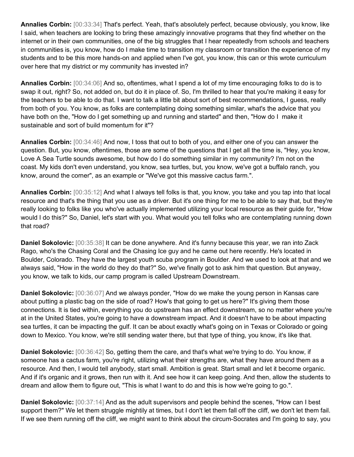**Annalies Corbin:** [00:33:34] That's perfect. Yeah, that's absolutely perfect, because obviously, you know, like I said, when teachers are looking to bring these amazingly innovative programs that they find whether on the internet or in their own communities, one of the big struggles that I hear repeatedly from schools and teachers in communities is, you know, how do I make time to transition my classroom or transition the experience of my students and to be this more hands-on and applied when I've got, you know, this can or this wrote curriculum over here that my district or my community has invested in?

**Annalies Corbin:** [00:34:06] And so, oftentimes, what I spend a lot of my time encouraging folks to do is to swap it out, right? So, not added on, but do it in place of. So, I'm thrilled to hear that you're making it easy for the teachers to be able to do that. I want to talk a little bit about sort of best recommendations, I guess, really from both of you. You know, as folks are contemplating doing something similar, what's the advice that you have both on the, "How do I get something up and running and started" and then, "How do I make it sustainable and sort of build momentum for it"?

**Annalies Corbin:** [00:34:46] And now, I toss that out to both of you, and either one of you can answer the question. But, you know, oftentimes, those are some of the questions that I get all the time is, "Hey, you know, Love A Sea Turtle sounds awesome, but how do I do something similar in my community? I'm not on the coast. My kids don't even understand, you know, sea turtles, but, you know, we've got a buffalo ranch, you know, around the corner", as an example or "We've got this massive cactus farm.".

**Annalies Corbin:** [00:35:12] And what I always tell folks is that, you know, you take and you tap into that local resource and that's the thing that you use as a driver. But it's one thing for me to be able to say that, but they're really looking to folks like you who've actually implemented utilizing your local resource as their guide for, "How would I do this?" So, Daniel, let's start with you. What would you tell folks who are contemplating running down that road?

**Daniel Sokolovic:** [00:35:38] It can be done anywhere. And it's funny because this year, we ran into Zack Rago, who's the Chasing Coral and the Chasing Ice guy and he came out here recently. He's located in Boulder, Colorado. They have the largest youth scuba program in Boulder. And we used to look at that and we always said, "How in the world do they do that?" So, we've finally got to ask him that question. But anyway, you know, we talk to kids, our camp program is called Upstream Downstream.

**Daniel Sokolovic:** [00:36:07] And we always ponder, "How do we make the young person in Kansas care about putting a plastic bag on the side of road? How's that going to get us here?" It's giving them those connections. It is tied within, everything you do upstream has an effect downstream, so no matter where you're at in the United States, you're going to have a downstream impact. And it doesn't have to be about impacting sea turtles, it can be impacting the gulf. It can be about exactly what's going on in Texas or Colorado or going down to Mexico. You know, we're still sending water there, but that type of thing, you know, it's like that.

**Daniel Sokolovic:** [00:36:42] So, getting them the care, and that's what we're trying to do. You know, if someone has a cactus farm, you're right, utilizing what their strengths are, what they have around them as a resource. And then, I would tell anybody, start small. Ambition is great. Start small and let it become organic. And if it's organic and it grows, then run with it. And see how it can keep going. And then, allow the students to dream and allow them to figure out, "This is what I want to do and this is how we're going to go.".

**Daniel Sokolovic:** [00:37:14] And as the adult supervisors and people behind the scenes, "How can I best support them?" We let them struggle mightily at times, but I don't let them fall off the cliff, we don't let them fail. If we see them running off the cliff, we might want to think about the circum-Socrates and I'm going to say, you